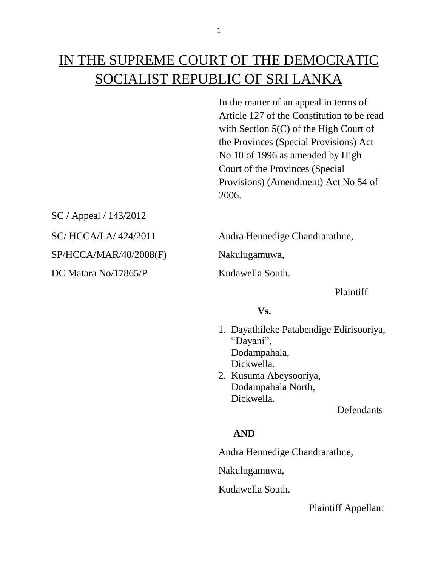# IN THE SUPREME COURT OF THE DEMOCRATIC SOCIALIST REPUBLIC OF SRI LANKA

In the matter of an appeal in terms of Article 127 of the Constitution to be read with Section 5(C) of the High Court of the Provinces (Special Provisions) Act No 10 of 1996 as amended by High Court of the Provinces (Special Provisions) (Amendment) Act No 54 of 2006.

SC / Appeal / 143/2012 SP/HCCA/MAR/40/2008(F) Nakulugamuwa, DC Matara No/17865/P Kudawella South.

SC/ HCCA/LA/ 424/2011 Andra Hennedige Chandrarathne,

Plaintiff

#### **Vs.**

- 1. Dayathileke Patabendige Edirisooriya, "Dayani", Dodampahala, Dickwella.
- 2. Kusuma Abeysooriya, Dodampahala North, Dickwella.

**Defendants** 

## **AND**

Andra Hennedige Chandrarathne,

Nakulugamuwa,

Kudawella South.

Plaintiff Appellant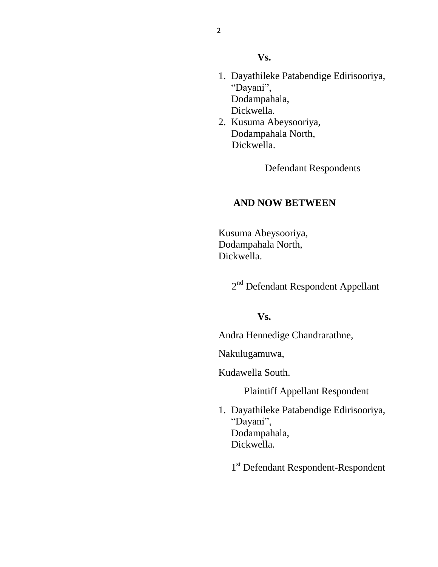#### **Vs.**

- 1. Dayathileke Patabendige Edirisooriya, "Dayani", Dodampahala, Dickwella.
- 2. Kusuma Abeysooriya, Dodampahala North, Dickwella.

Defendant Respondents

## **AND NOW BETWEEN**

 Kusuma Abeysooriya, Dodampahala North, Dickwella.

2<sup>nd</sup> Defendant Respondent Appellant

## **Vs.**

Andra Hennedige Chandrarathne,

Nakulugamuwa,

Kudawella South.

Plaintiff Appellant Respondent

- 1. Dayathileke Patabendige Edirisooriya, "Dayani", Dodampahala, Dickwella.
	- 1<sup>st</sup> Defendant Respondent-Respondent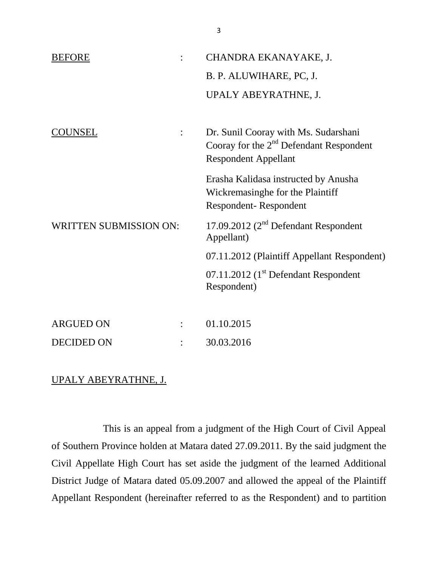| <b>BEFORE</b>                 |  | CHANDRA EKANAYAKE, J.                                                                                            |
|-------------------------------|--|------------------------------------------------------------------------------------------------------------------|
|                               |  | B. P. ALUWIHARE, PC, J.                                                                                          |
|                               |  | UPALY ABEYRATHNE, J.                                                                                             |
| OUNSEL                        |  | Dr. Sunil Cooray with Ms. Sudarshani<br>Cooray for the $2nd$ Defendant Respondent<br><b>Respondent Appellant</b> |
|                               |  | Erasha Kalidasa instructed by Anusha<br>Wickremasinghe for the Plaintiff<br>Respondent-Respondent                |
| <b>WRITTEN SUBMISSION ON:</b> |  | 17.09.2012 $(2nd$ Defendant Respondent<br>Appellant)                                                             |
|                               |  | 07.11.2012 (Plaintiff Appellant Respondent)                                                                      |
|                               |  | 07.11.2012 (1 <sup>st</sup> Defendant Respondent<br>Respondent)                                                  |
|                               |  |                                                                                                                  |
| <b>ARGUED ON</b>              |  | 01.10.2015                                                                                                       |
| <b>DECIDED ON</b>             |  | 30.03.2016                                                                                                       |

# UPALY ABEYRATHNE, J.

This is an appeal from a judgment of the High Court of Civil Appeal of Southern Province holden at Matara dated 27.09.2011. By the said judgment the Civil Appellate High Court has set aside the judgment of the learned Additional District Judge of Matara dated 05.09.2007 and allowed the appeal of the Plaintiff Appellant Respondent (hereinafter referred to as the Respondent) and to partition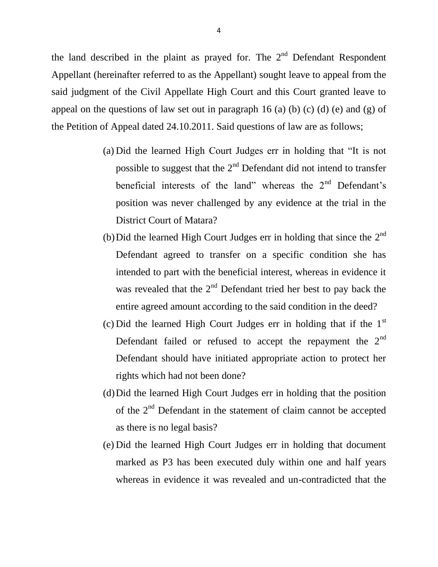the land described in the plaint as prayed for. The  $2<sup>nd</sup>$  Defendant Respondent Appellant (hereinafter referred to as the Appellant) sought leave to appeal from the said judgment of the Civil Appellate High Court and this Court granted leave to appeal on the questions of law set out in paragraph 16 (a) (b) (c) (d) (e) and (g) of the Petition of Appeal dated 24.10.2011. Said questions of law are as follows;

- (a) Did the learned High Court Judges err in holding that "It is not possible to suggest that the  $2<sup>nd</sup>$  Defendant did not intend to transfer beneficial interests of the land" whereas the  $2<sup>nd</sup>$  Defendant's position was never challenged by any evidence at the trial in the District Court of Matara?
- (b) Did the learned High Court Judges err in holding that since the  $2<sup>nd</sup>$ Defendant agreed to transfer on a specific condition she has intended to part with the beneficial interest, whereas in evidence it was revealed that the  $2<sup>nd</sup>$  Defendant tried her best to pay back the entire agreed amount according to the said condition in the deed?
- (c) Did the learned High Court Judges err in holding that if the  $1<sup>st</sup>$ Defendant failed or refused to accept the repayment the  $2<sup>nd</sup>$ Defendant should have initiated appropriate action to protect her rights which had not been done?
- (d)Did the learned High Court Judges err in holding that the position of the 2nd Defendant in the statement of claim cannot be accepted as there is no legal basis?
- (e) Did the learned High Court Judges err in holding that document marked as P3 has been executed duly within one and half years whereas in evidence it was revealed and un-contradicted that the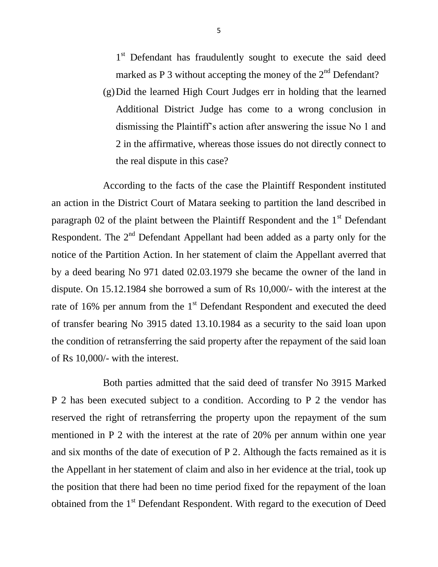1<sup>st</sup> Defendant has fraudulently sought to execute the said deed marked as P 3 without accepting the money of the  $2<sup>nd</sup>$  Defendant?

(g)Did the learned High Court Judges err in holding that the learned Additional District Judge has come to a wrong conclusion in dismissing the Plaintiff's action after answering the issue No 1 and 2 in the affirmative, whereas those issues do not directly connect to the real dispute in this case?

According to the facts of the case the Plaintiff Respondent instituted an action in the District Court of Matara seeking to partition the land described in paragraph 02 of the plaint between the Plaintiff Respondent and the  $1<sup>st</sup>$  Defendant Respondent. The  $2<sup>nd</sup>$  Defendant Appellant had been added as a party only for the notice of the Partition Action. In her statement of claim the Appellant averred that by a deed bearing No 971 dated 02.03.1979 she became the owner of the land in dispute. On 15.12.1984 she borrowed a sum of Rs 10,000/- with the interest at the rate of 16% per annum from the 1<sup>st</sup> Defendant Respondent and executed the deed of transfer bearing No 3915 dated 13.10.1984 as a security to the said loan upon the condition of retransferring the said property after the repayment of the said loan of Rs 10,000/- with the interest.

Both parties admitted that the said deed of transfer No 3915 Marked P 2 has been executed subject to a condition. According to P 2 the vendor has reserved the right of retransferring the property upon the repayment of the sum mentioned in P 2 with the interest at the rate of 20% per annum within one year and six months of the date of execution of P 2. Although the facts remained as it is the Appellant in her statement of claim and also in her evidence at the trial, took up the position that there had been no time period fixed for the repayment of the loan obtained from the 1<sup>st</sup> Defendant Respondent. With regard to the execution of Deed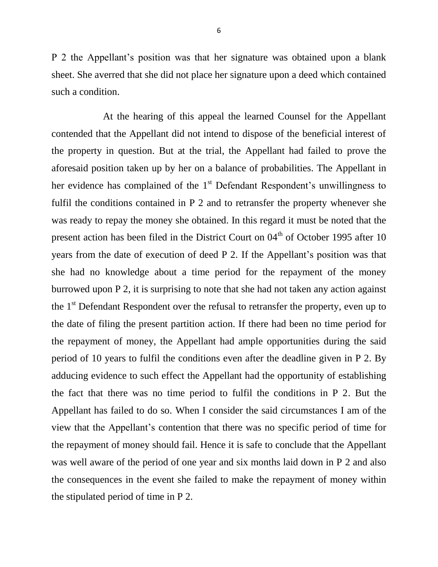P 2 the Appellant's position was that her signature was obtained upon a blank sheet. She averred that she did not place her signature upon a deed which contained such a condition.

At the hearing of this appeal the learned Counsel for the Appellant contended that the Appellant did not intend to dispose of the beneficial interest of the property in question. But at the trial, the Appellant had failed to prove the aforesaid position taken up by her on a balance of probabilities. The Appellant in her evidence has complained of the  $1<sup>st</sup>$  Defendant Respondent's unwillingness to fulfil the conditions contained in P 2 and to retransfer the property whenever she was ready to repay the money she obtained. In this regard it must be noted that the present action has been filed in the District Court on  $04<sup>th</sup>$  of October 1995 after 10 years from the date of execution of deed P 2. If the Appellant's position was that she had no knowledge about a time period for the repayment of the money burrowed upon P 2, it is surprising to note that she had not taken any action against the  $1<sup>st</sup>$  Defendant Respondent over the refusal to retransfer the property, even up to the date of filing the present partition action. If there had been no time period for the repayment of money, the Appellant had ample opportunities during the said period of 10 years to fulfil the conditions even after the deadline given in P 2. By adducing evidence to such effect the Appellant had the opportunity of establishing the fact that there was no time period to fulfil the conditions in P 2. But the Appellant has failed to do so. When I consider the said circumstances I am of the view that the Appellant's contention that there was no specific period of time for the repayment of money should fail. Hence it is safe to conclude that the Appellant was well aware of the period of one year and six months laid down in P 2 and also the consequences in the event she failed to make the repayment of money within the stipulated period of time in P 2.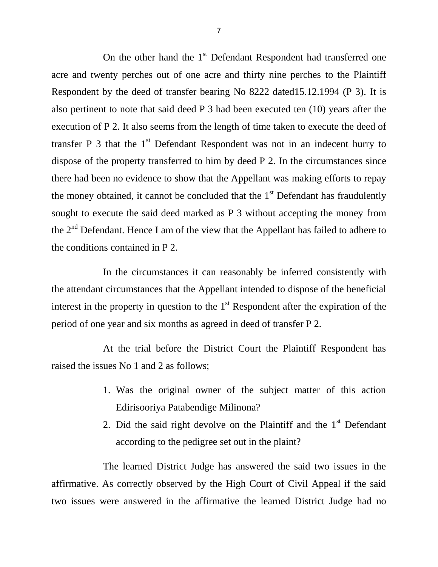On the other hand the 1<sup>st</sup> Defendant Respondent had transferred one acre and twenty perches out of one acre and thirty nine perches to the Plaintiff Respondent by the deed of transfer bearing No 8222 dated15.12.1994 (P 3). It is also pertinent to note that said deed P 3 had been executed ten (10) years after the execution of P 2. It also seems from the length of time taken to execute the deed of transfer  $P_3$  that the 1<sup>st</sup> Defendant Respondent was not in an indecent hurry to dispose of the property transferred to him by deed P 2. In the circumstances since there had been no evidence to show that the Appellant was making efforts to repay the money obtained, it cannot be concluded that the  $1<sup>st</sup>$  Defendant has fraudulently sought to execute the said deed marked as P 3 without accepting the money from the 2<sup>nd</sup> Defendant. Hence I am of the view that the Appellant has failed to adhere to the conditions contained in P 2.

In the circumstances it can reasonably be inferred consistently with the attendant circumstances that the Appellant intended to dispose of the beneficial interest in the property in question to the  $1<sup>st</sup>$  Respondent after the expiration of the period of one year and six months as agreed in deed of transfer P 2.

At the trial before the District Court the Plaintiff Respondent has raised the issues No 1 and 2 as follows;

- 1. Was the original owner of the subject matter of this action Edirisooriya Patabendige Milinona?
- 2. Did the said right devolve on the Plaintiff and the  $1<sup>st</sup>$  Defendant according to the pedigree set out in the plaint?

The learned District Judge has answered the said two issues in the affirmative. As correctly observed by the High Court of Civil Appeal if the said two issues were answered in the affirmative the learned District Judge had no